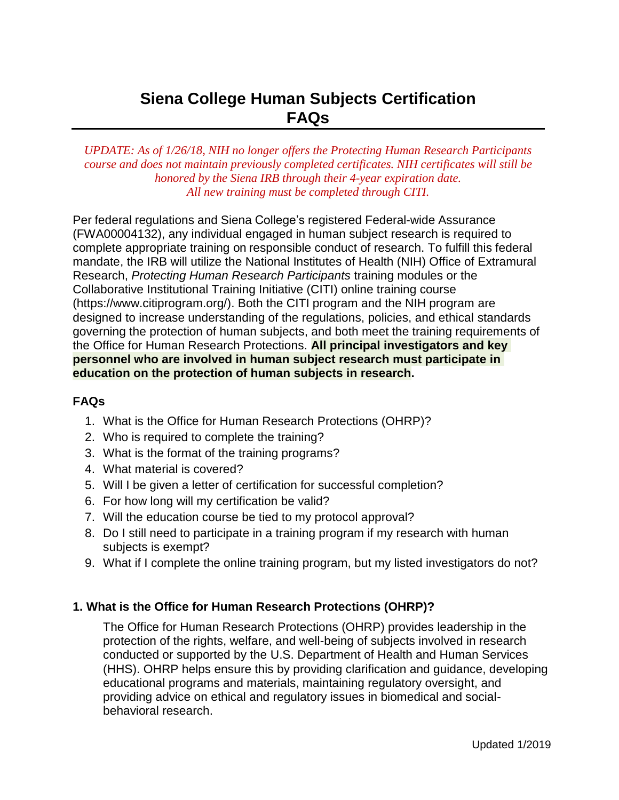# **Siena College Human Subjects Certification FAQs**

*UPDATE: As of 1/26/18, NIH no longer offers the Protecting Human Research Participants course and does not maintain previously completed certificates. NIH certificates will still be honored by the Siena IRB through their 4-year expiration date. All new training must be completed through CITI.*

Per federal regulations and Siena College's registered Federal-wide Assurance (FWA00004132), any individual engaged in human subject research is required to complete appropriate training on responsible conduct of research. To fulfill this federal mandate, the IRB will utilize the National Institutes of Health (NIH) Office of Extramural Research, *Protecting Human Research Participants* training modules or the Collaborative Institutional Training Initiative (CITI) online training course [\(https://www.citiprogram.org/\).](http://www.citiprogram.org/)) Both the CITI program and the NIH program are designed to increase understanding of the regulations, policies, and ethical standards governing the protection of human subjects, and both meet the training requirements of the Office for Human Research Protections. **All principal investigators and key personnel who are involved in human subject research must participate in education on the protection of human subjects in research.**

#### **FAQs**

- 1. What is the Office for Human Research Protections (OHRP)?
- 2. Who is required to complete the training?
- 3. What is the format of the training programs?
- 4. What material is covered?
- 5. Will I be given a letter of certification for successful completion?
- 6. For how long will my certification be valid?
- 7. Will the education course be tied to my protocol approval?
- 8. Do I still need to participate in a training program if my research with human subjects is exempt?
- 9. What if I complete the online training program, but my listed investigators do not?

## **1. What is the Office for Human Research Protections (OHRP)?**

The Office for Human Research Protections (OHRP) provides leadership in the protection of the rights, welfare, and well-being of subjects involved in research conducted or supported by the U.S. Department of Health and Human Services (HHS). OHRP helps ensure this by providing clarification and guidance, developing educational programs and materials, maintaining regulatory oversight, and providing advice on ethical and regulatory issues in biomedical and socialbehavioral research.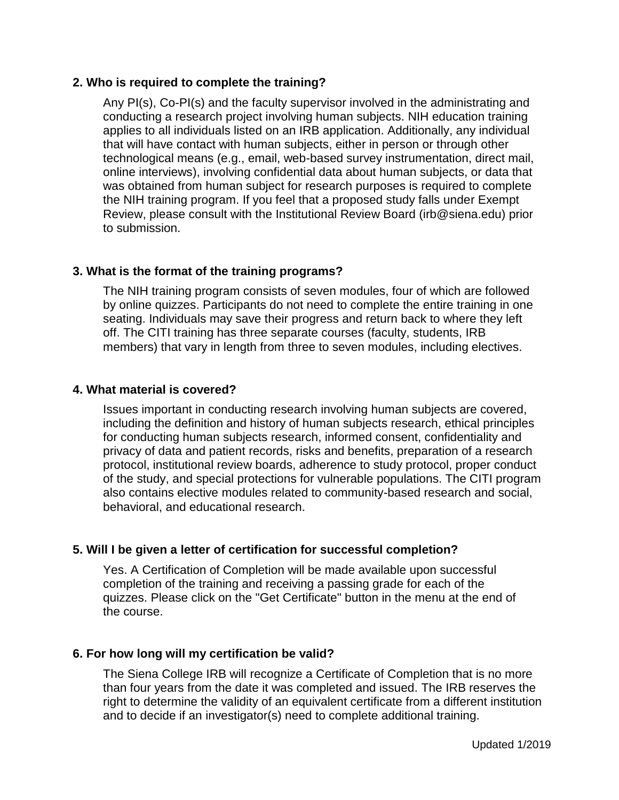## **2. Who is required to complete the training?**

Any PI(s), Co-PI(s) and the faculty supervisor involved in the administrating and conducting a research project involving human subjects. NIH education training applies to all individuals listed on an IRB application. Additionally, any individual that will have contact with human subjects, either in person or through other technological means (e.g., email, web-based survey instrumentation, direct mail, online interviews), involving confidential data about human subjects, or data that was obtained from human subject for research purposes is required to complete the NIH training program. If you feel that a proposed study falls under Exempt Review, please consult with the Institutional Review Board (irb@siena.edu) prior to submission.

## **3. What is the format of the training programs?**

The NIH training program consists of seven modules, four of which are followed by online quizzes. Participants do not need to complete the entire training in one seating. Individuals may save their progress and return back to where they left off. The CITI training has three separate courses (faculty, students, IRB members) that vary in length from three to seven modules, including electives.

## **4. What material is covered?**

Issues important in conducting research involving human subjects are covered, including the definition and history of human subjects research, ethical principles for conducting human subjects research, informed consent, confidentiality and privacy of data and patient records, risks and benefits, preparation of a research protocol, institutional review boards, adherence to study protocol, proper conduct of the study, and special protections for vulnerable populations. The CITI program also contains elective modules related to community-based research and social, behavioral, and educational research.

## **5. Will I be given a letter of certification for successful completion?**

Yes. A Certification of Completion will be made available upon successful completion of the training and receiving a passing grade for each of the quizzes. Please click on the "Get Certificate" button in the menu at the end of the course.

## **6. For how long will my certification be valid?**

The Siena College IRB will recognize a Certificate of Completion that is no more than four years from the date it was completed and issued. The IRB reserves the right to determine the validity of an equivalent certificate from a different institution and to decide if an investigator(s) need to complete additional training.